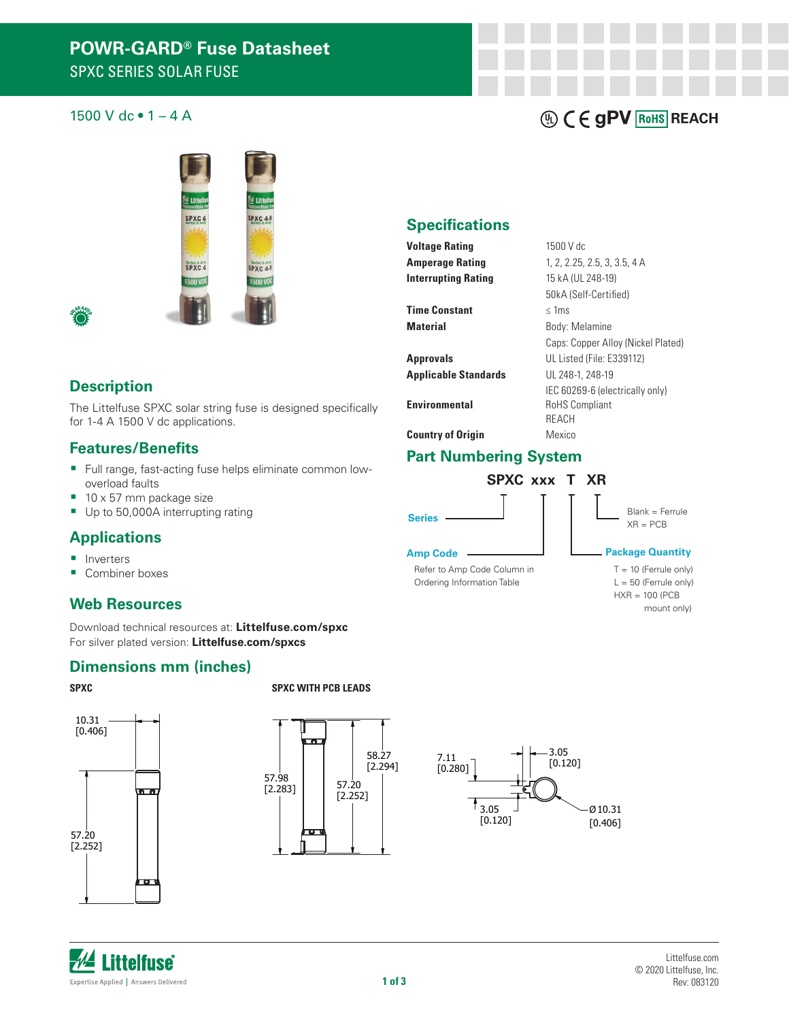## 1500 V dc  $\bullet$  1 – 4 A **REACH**



#### **Description**

The Littelfuse SPXC solar string fuse is designed specifically for 1-4 A 1500 V dc applications.

#### **Features/Benefits**

- Full range, fast-acting fuse helps eliminate common lowoverload faults
- 10 x 57 mm package size
- Up to 50,000A interrupting rating

#### **Applications**

- **Inverters**
- Combiner boxes

#### **Web Resources**

Download technical resources at: **Littelfuse.com/spxc** For silver plated version: **Littelfuse.com/spxcs**

#### **Dimensions mm (inches)**

**SPXC SPXC** WITH PCB LEADS





[0.120] 7.11

[0.280]



#### **Specifications**

**Voltage Rating 1500 V dc Interrupting Rating** 15 kA (UL 248-19)

**Time Constant** ≤ 1ms

**Approvals** UL Listed (File: E339112)

### **Part Numbering System**



**Amp Code**

Refer to Amp Code Column in Ordering Information Table

**Amperage Rating** 1, 2, 2.25, 2.5, 3, 3.5, 4 A 50kA (Self-Certified) **Material** Body: Melamine Caps: Copper Alloy (Nickel Plated) **Applicable Standards** UL 248-1, 248-19 IEC 60269-6 (electrically only) **Environmental** RoHS Compliant REACH **Country of Origin** Mexico



#### **Package Quantity**

 $L = 50$  (Ferrule only)  $HXR = 100 (PCB)$  $T = 10$  (Ferrule only) mount only)



SHOWN ON DRAWING AND INITIALLY LOCATED TO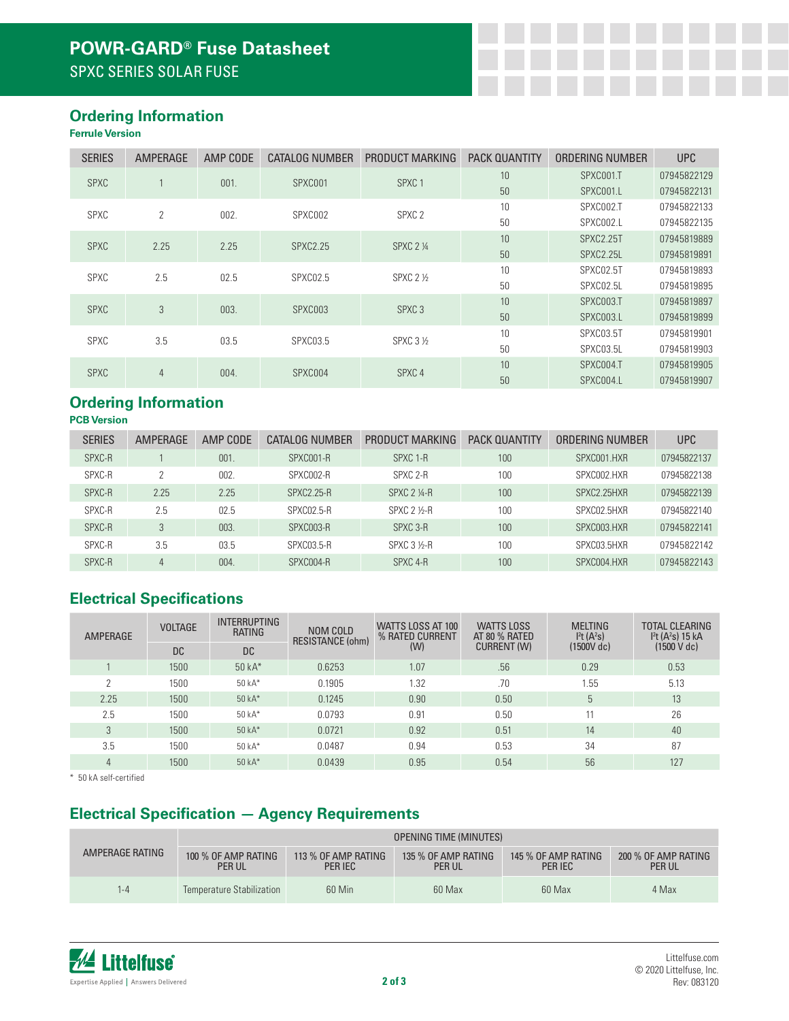### **Ordering Information**

#### **Ferrule Version**

| <b>SERIES</b>    | AMPERAGE       | AMP CODE | CATALOG NUMBER  | PRODUCT MARKING   | <b>PACK QUANTITY</b>                                                                        | ORDERING NUMBER              | <b>UPC</b>  |
|------------------|----------------|----------|-----------------|-------------------|---------------------------------------------------------------------------------------------|------------------------------|-------------|
| <b>SPXC</b>      |                | 001.     | SPXC001         | SPXC <sub>1</sub> | 10                                                                                          | SPXC001.T                    | 07945822129 |
|                  |                |          |                 |                   | 50                                                                                          | SPXC001.L                    | 07945822131 |
| <b>SPXC</b>      | $\overline{2}$ | 002.     | SPXC002         | SPXC <sub>2</sub> | 10                                                                                          | SPXC002.T                    | 07945822133 |
|                  |                |          |                 |                   | 50                                                                                          | SPXC002.L                    | 07945822135 |
| <b>SPXC</b>      | 2.25           | 2.25     | <b>SPXC2.25</b> | <b>SPXC 2 1/4</b> | 10                                                                                          | SPXC2.25T                    | 07945819889 |
|                  |                |          |                 |                   | 50                                                                                          | SPXC2.25L<br>10<br>SPXC02.5T | 07945819891 |
| SPXC             | 2.5            | 02.5     | SPXC02.5        | <b>SPXC 2 1/2</b> |                                                                                             |                              | 07945819893 |
|                  |                |          |                 |                   | 50                                                                                          | SPXC02.5L                    | 07945819895 |
| 3<br><b>SPXC</b> |                | 003.     | SPXC003         | SPXC <sub>3</sub> | 10                                                                                          | SPXC003.T                    | 07945819897 |
|                  |                |          |                 |                   | 50<br>SPXC003.L<br>10<br>SPXC03.5T<br>50<br>SPXC03.5L<br>10<br>SPXC004.T<br>50<br>SPXC004.L |                              | 07945819899 |
| SPXC             | 3.5            | 03.5     | <b>SPXC03.5</b> | SPXC 3 1/2        |                                                                                             |                              | 07945819901 |
|                  |                |          |                 |                   |                                                                                             |                              | 07945819903 |
| <b>SPXC</b>      | 4              | 004.     | SPXC004         | SPXC <sub>4</sub> |                                                                                             |                              | 07945819905 |
|                  |                |          |                 |                   |                                                                                             |                              | 07945819907 |

# **Ordering Information**

**PCB Version**

| <b>SERIES</b> | AMPERAGE | AMP CODE | CATALOG NUMBER    | PRODUCT MARKING     | <b>PACK QUANTITY</b> | ORDERING NUMBER | <b>UPC</b>  |
|---------------|----------|----------|-------------------|---------------------|----------------------|-----------------|-------------|
| SPXC-R        |          | 001.     | SPXC001-R         | SPXC 1-R            | 100                  | SPXC001.HXR     | 07945822137 |
| SPXC-R        | C        | 002.     | SPXC002-R         | SPXC 2-R            | 100                  | SPXC002.HXR     | 07945822138 |
| SPXC-R        | 2.25     | 2.25     | <b>SPXC2.25-R</b> | $SPXC 2 4-R$        | 100                  | SPXC2.25HXR     | 07945822139 |
| SPXC-R        | 2.5      | 02.5     | SPXC02.5-R        | <b>SPXC 2 1/2-R</b> | 100                  | SPXC02.5HXR     | 07945822140 |
| SPXC-R        | 3        | 003.     | SPXC003-R         | SPXC 3-R            | 100 <sup>°</sup>     | SPXC003.HXR     | 07945822141 |
| SPXC-R        | 3.5      | 03.5     | SPXC03.5-R        | SPXC 3 1/2-R        | 100                  | SPXC03.5HXR     | 07945822142 |
| SPXC-R        | 4        | 004.     | SPXC004-R         | SPXC 4-R            | 100 <sup>°</sup>     | SPXC004.HXR     | 07945822143 |

# **Electrical Specifications**

| <b>AMPERAGE</b> | <b>VOLTAGE</b> | <b>INTERRUPTING</b><br><b>RATING</b> | NOM COLD<br>RESISTANCE (ohm) | WATTS LOSS AT 100<br>% RATED CURRENT<br>(W) | <b>WATTS LOSS</b><br>AT 80 % RATED<br><b>CURRENT (W)</b> | <b>MELTING</b><br>I <sup>2</sup> t (A <sup>2</sup> s)<br>(1500V dc) | <b>TOTAL CLEARING</b><br>I <sup>2</sup> t (A <sup>2</sup> s) 15 kA<br>(1500 V dc) |
|-----------------|----------------|--------------------------------------|------------------------------|---------------------------------------------|----------------------------------------------------------|---------------------------------------------------------------------|-----------------------------------------------------------------------------------|
|                 | DC.            | <b>DC</b>                            |                              |                                             |                                                          |                                                                     |                                                                                   |
|                 | 1500           | $50kA*$                              | 0.6253                       | 1.07                                        | .56                                                      | 0.29                                                                | 0.53                                                                              |
| C               | 1500           | $50kA*$                              | 0.1905                       | 1.32                                        | .70                                                      | 1.55                                                                | 5.13                                                                              |
| 2.25            | 1500           | $50kA*$                              | 0.1245                       | 0.90                                        | 0.50                                                     | b.                                                                  | 13                                                                                |
| 2.5             | 1500           | 50 kA*                               | 0.0793                       | 0.91                                        | 0.50                                                     | 11                                                                  | 26                                                                                |
| 3               | 1500           | $50kA*$                              | 0.0721                       | 0.92                                        | 0.51                                                     | 14                                                                  | 40                                                                                |
| 3.5             | 1500           | $50kA*$                              | 0.0487                       | 0.94                                        | 0.53                                                     | 34                                                                  | 87                                                                                |
| 4               | 1500           | 50 $kA*$                             | 0.0439                       | 0.95                                        | 0.54                                                     | 56                                                                  | 127                                                                               |

\* 50 kA self-certified

## **Electrical Specification — Agency Requirements**

|                 | <b>OPENING TIME (MINUTES)</b>        |                                |                                      |                                |                                      |  |  |
|-----------------|--------------------------------------|--------------------------------|--------------------------------------|--------------------------------|--------------------------------------|--|--|
| AMPERAGE RATING | 100 % OF AMP RATING<br><b>PER UL</b> | 113 % OF AMP RATING<br>PER IEC | 135 % OF AMP RATING<br><b>PER UL</b> | 145 % OF AMP RATING<br>PER IEC | 200 % OF AMP RATING<br><b>PER UL</b> |  |  |
| -4              | Temperature Stabilization            | 60 Min                         | 60 Max                               | 60 Max                         | 4 Max                                |  |  |